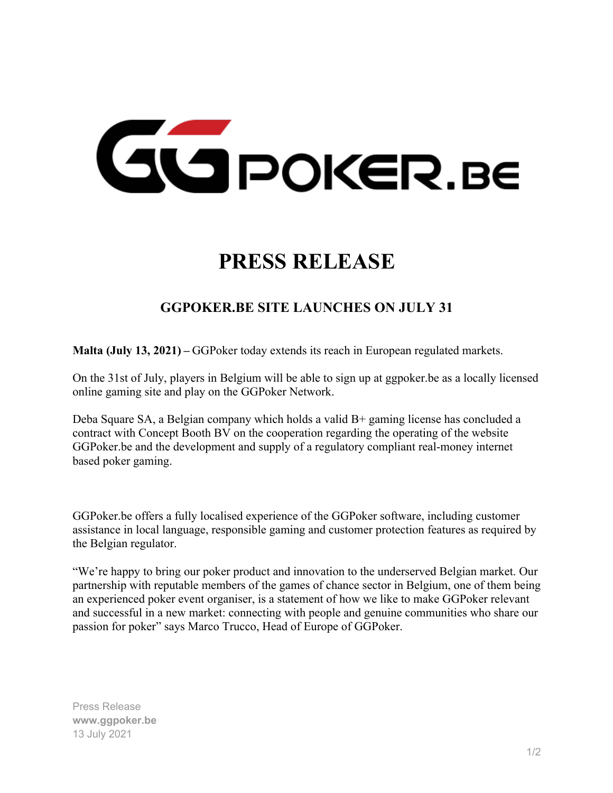

## **PRESS RELEASE**

## **GGPOKER.BE SITE LAUNCHES ON JULY 31**

**Malta (July 13, 2021) –** GGPoker today extends its reach in European regulated markets.

On the 31st of July, players in Belgium will be able to sign up at ggpoker.be as a locally licensed online gaming site and play on the GGPoker Network.

Deba Square SA, a Belgian company which holds a valid B+ gaming license has concluded a contract with Concept Booth BV on the cooperation regarding the operating of the website GGPoker.be and the development and supply of a regulatory compliant real-money internet based poker gaming.

GGPoker.be offers a fully localised experience of the GGPoker software, including customer assistance in local language, responsible gaming and customer protection features as required by the Belgian regulator.

"We're happy to bring our poker product and innovation to the underserved Belgian market. Our partnership with reputable members of the games of chance sector in Belgium, one of them being an experienced poker event organiser, is a statement of how we like to make GGPoker relevant and successful in a new market: connecting with people and genuine communities who share our passion for poker" says Marco Trucco, Head of Europe of GGPoker.

Press Release **www.ggpoker.be** 13 July 2021